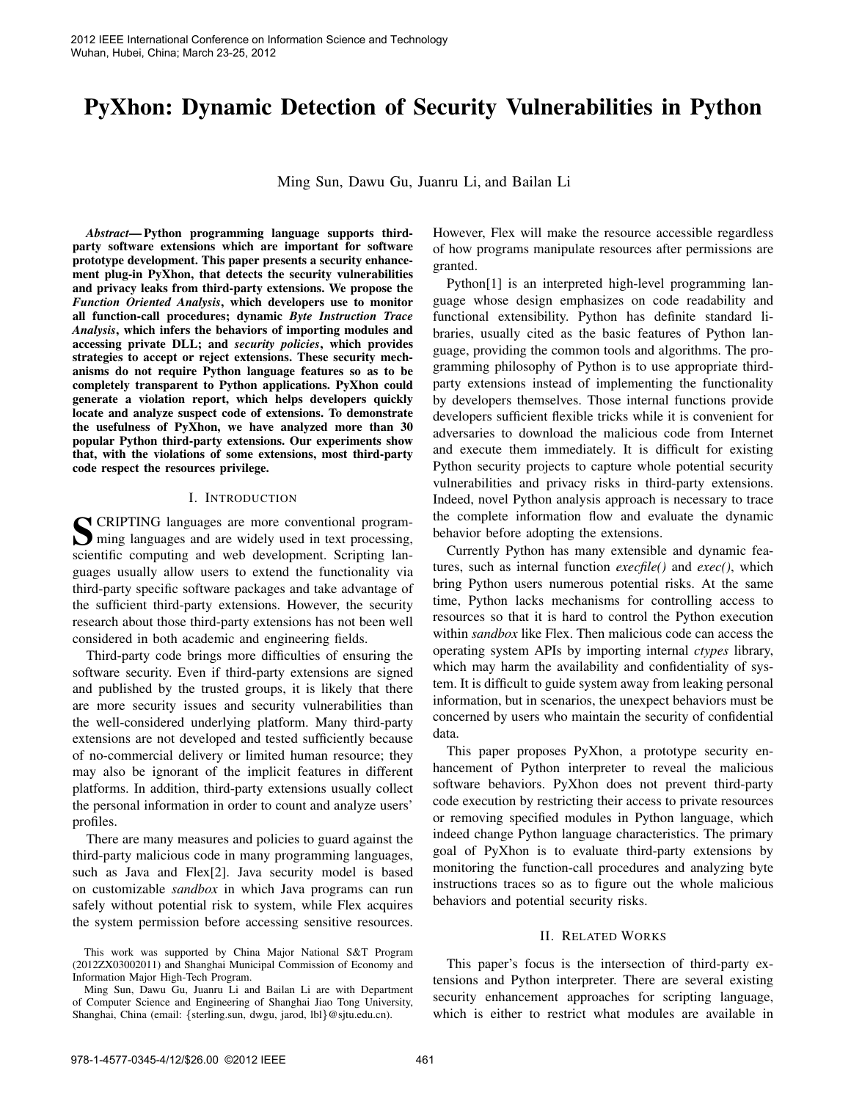# PyXhon: Dynamic Detection of Security Vulnerabilities in Python

Ming Sun, Dawu Gu, Juanru Li, and Bailan Li

*Abstract*— Python programming language supports thirdparty software extensions which are important for software prototype development. This paper presents a security enhancement plug-in PyXhon, that detects the security vulnerabilities and privacy leaks from third-party extensions. We propose the *Function Oriented Analysis*, which developers use to monitor all function-call procedures; dynamic *Byte Instruction Trace Analysis*, which infers the behaviors of importing modules and accessing private DLL; and *security policies*, which provides strategies to accept or reject extensions. These security mechanisms do not require Python language features so as to be completely transparent to Python applications. PyXhon could generate a violation report, which helps developers quickly locate and analyze suspect code of extensions. To demonstrate the usefulness of PyXhon, we have analyzed more than 30 popular Python third-party extensions. Our experiments show that, with the violations of some extensions, most third-party code respect the resources privilege.

#### I. INTRODUCTION

S CRIPTING languages are more conventional program-<br>ming languages and are widely used in text processing. ming languages and are widely used in text processing, scientific computing and web development. Scripting languages usually allow users to extend the functionality via third-party specific software packages and take advantage of the sufficient third-party extensions. However, the security research about those third-party extensions has not been well considered in both academic and engineering fields.

Third-party code brings more difficulties of ensuring the software security. Even if third-party extensions are signed and published by the trusted groups, it is likely that there are more security issues and security vulnerabilities than the well-considered underlying platform. Many third-party extensions are not developed and tested sufficiently because of no-commercial delivery or limited human resource; they may also be ignorant of the implicit features in different platforms. In addition, third-party extensions usually collect the personal information in order to count and analyze users' profiles.

There are many measures and policies to guard against the third-party malicious code in many programming languages, such as Java and Flex[2]. Java security model is based on customizable *sandbox* in which Java programs can run safely without potential risk to system, while Flex acquires the system permission before accessing sensitive resources. However, Flex will make the resource accessible regardless of how programs manipulate resources after permissions are granted.

Python[1] is an interpreted high-level programming language whose design emphasizes on code readability and functional extensibility. Python has definite standard libraries, usually cited as the basic features of Python language, providing the common tools and algorithms. The programming philosophy of Python is to use appropriate thirdparty extensions instead of implementing the functionality by developers themselves. Those internal functions provide developers sufficient flexible tricks while it is convenient for adversaries to download the malicious code from Internet and execute them immediately. It is difficult for existing Python security projects to capture whole potential security vulnerabilities and privacy risks in third-party extensions. Indeed, novel Python analysis approach is necessary to trace the complete information flow and evaluate the dynamic behavior before adopting the extensions.

Currently Python has many extensible and dynamic features, such as internal function *execfile()* and *exec()*, which bring Python users numerous potential risks. At the same time, Python lacks mechanisms for controlling access to resources so that it is hard to control the Python execution within *sandbox* like Flex. Then malicious code can access the operating system APIs by importing internal *ctypes* library, which may harm the availability and confidentiality of system. It is difficult to guide system away from leaking personal information, but in scenarios, the unexpect behaviors must be concerned by users who maintain the security of confidential data.

This paper proposes PyXhon, a prototype security enhancement of Python interpreter to reveal the malicious software behaviors. PyXhon does not prevent third-party code execution by restricting their access to private resources or removing specified modules in Python language, which indeed change Python language characteristics. The primary goal of PyXhon is to evaluate third-party extensions by monitoring the function-call procedures and analyzing byte instructions traces so as to figure out the whole malicious behaviors and potential security risks.

#### II. RELATED WORKS

This paper's focus is the intersection of third-party extensions and Python interpreter. There are several existing security enhancement approaches for scripting language, which is either to restrict what modules are available in

This work was supported by China Major National S&T Program (2012ZX03002011) and Shanghai Municipal Commission of Economy and Information Major High-Tech Program.

Ming Sun, Dawu Gu, Juanru Li and Bailan Li are with Department of Computer Science and Engineering of Shanghai Jiao Tong University, Shanghai, China (email: {sterling.sun, dwgu, jarod, lbl}@sjtu.edu.cn).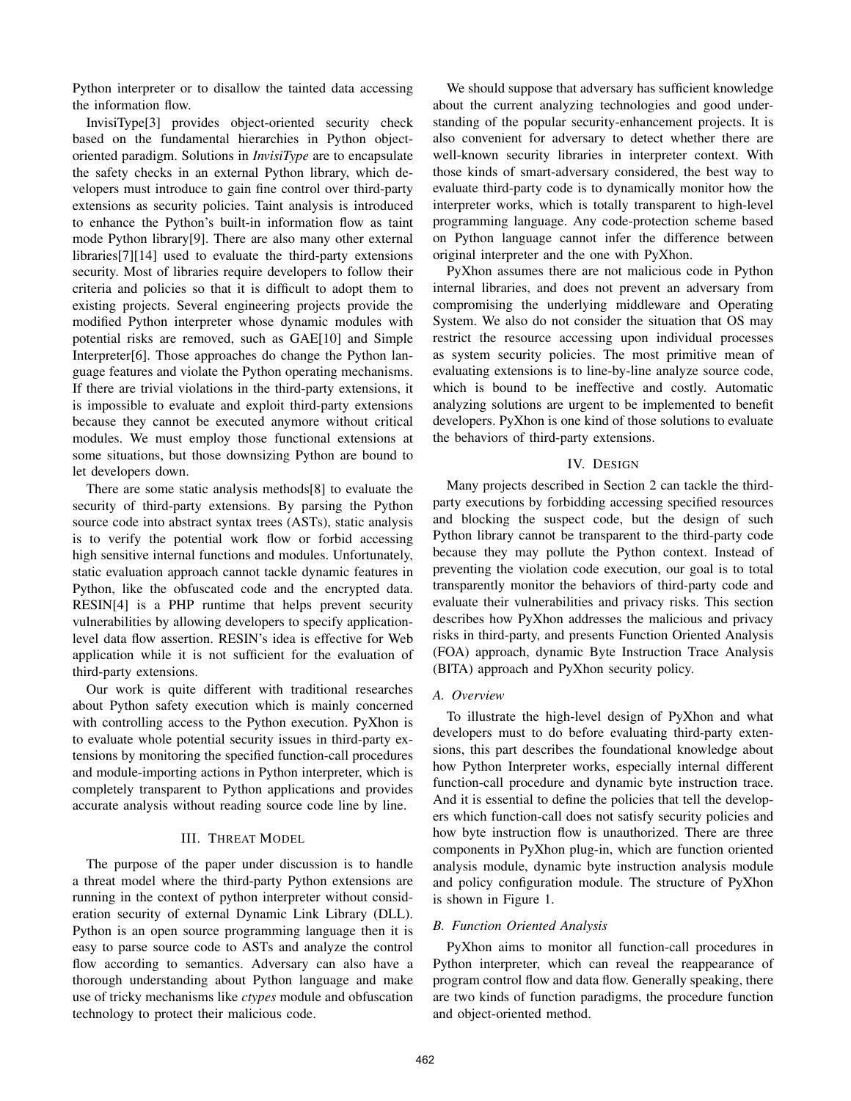Python interpreter or to disallow the tainted data accessing the information flow.

InvisiType[3] provides object-oriented security check based on the fundamental hierarchies in Python objectoriented paradigm. Solutions in *InvisiType* are to encapsulate the safety checks in an external Python library, which developers must introduce to gain fine control over third-party extensions as security policies. Taint analysis is introduced to enhance the Python's built-in information flow as taint mode Python library[9]. There are also many other external libraries[7][14] used to evaluate the third-party extensions security. Most of libraries require developers to follow their criteria and policies so that it is difficult to adopt them to existing projects. Several engineering projects provide the modified Python interpreter whose dynamic modules with potential risks are removed, such as GAE[10] and Simple Interpreter[6]. Those approaches do change the Python language features and violate the Python operating mechanisms. If there are trivial violations in the third-party extensions, it is impossible to evaluate and exploit third-party extensions because they cannot be executed anymore without critical modules. We must employ those functional extensions at some situations, but those downsizing Python are bound to let developers down.

There are some static analysis methods[8] to evaluate the security of third-party extensions. By parsing the Python source code into abstract syntax trees (ASTs), static analysis is to verify the potential work flow or forbid accessing high sensitive internal functions and modules. Unfortunately, static evaluation approach cannot tackle dynamic features in Python, like the obfuscated code and the encrypted data. RESIN[4] is a PHP runtime that helps prevent security vulnerabilities by allowing developers to specify applicationlevel data flow assertion. RESIN's idea is effective for Web application while it is not sufficient for the evaluation of third-party extensions.

Our work is quite different with traditional researches about Python safety execution which is mainly concerned with controlling access to the Python execution. PyXhon is to evaluate whole potential security issues in third-party extensions by monitoring the specified function-call procedures and module-importing actions in Python interpreter, which is completely transparent to Python applications and provides accurate analysis without reading source code line by line.

#### III. THREAT MODEL

The purpose of the paper under discussion is to handle a threat model where the third-party Python extensions are running in the context of python interpreter without consideration security of external Dynamic Link Library (DLL). Python is an open source programming language then it is easy to parse source code to ASTs and analyze the control flow according to semantics. Adversary can also have a thorough understanding about Python language and make use of tricky mechanisms like *ctypes* module and obfuscation technology to protect their malicious code.

We should suppose that adversary has sufficient knowledge about the current analyzing technologies and good understanding of the popular security-enhancement projects. It is also convenient for adversary to detect whether there are well-known security libraries in interpreter context. With those kinds of smart-adversary considered, the best way to evaluate third-party code is to dynamically monitor how the interpreter works, which is totally transparent to high-level programming language. Any code-protection scheme based on Python language cannot infer the difference between original interpreter and the one with PyXhon.

PyXhon assumes there are not malicious code in Python internal libraries, and does not prevent an adversary from compromising the underlying middleware and Operating System. We also do not consider the situation that OS may restrict the resource accessing upon individual processes as system security policies. The most primitive mean of evaluating extensions is to line-by-line analyze source code, which is bound to be ineffective and costly. Automatic analyzing solutions are urgent to be implemented to benefit developers. PyXhon is one kind of those solutions to evaluate the behaviors of third-party extensions.

#### IV. DESIGN

Many projects described in Section 2 can tackle the thirdparty executions by forbidding accessing specified resources and blocking the suspect code, but the design of such Python library cannot be transparent to the third-party code because they may pollute the Python context. Instead of preventing the violation code execution, our goal is to total transparently monitor the behaviors of third-party code and evaluate their vulnerabilities and privacy risks. This section describes how PyXhon addresses the malicious and privacy risks in third-party, and presents Function Oriented Analysis (FOA) approach, dynamic Byte Instruction Trace Analysis (BITA) approach and PyXhon security policy.

## *A. Overview*

To illustrate the high-level design of PyXhon and what developers must to do before evaluating third-party extensions, this part describes the foundational knowledge about how Python Interpreter works, especially internal different function-call procedure and dynamic byte instruction trace. And it is essential to define the policies that tell the developers which function-call does not satisfy security policies and how byte instruction flow is unauthorized. There are three components in PyXhon plug-in, which are function oriented analysis module, dynamic byte instruction analysis module and policy configuration module. The structure of PyXhon is shown in Figure 1.

#### *B. Function Oriented Analysis*

PyXhon aims to monitor all function-call procedures in Python interpreter, which can reveal the reappearance of program control flow and data flow. Generally speaking, there are two kinds of function paradigms, the procedure function and object-oriented method.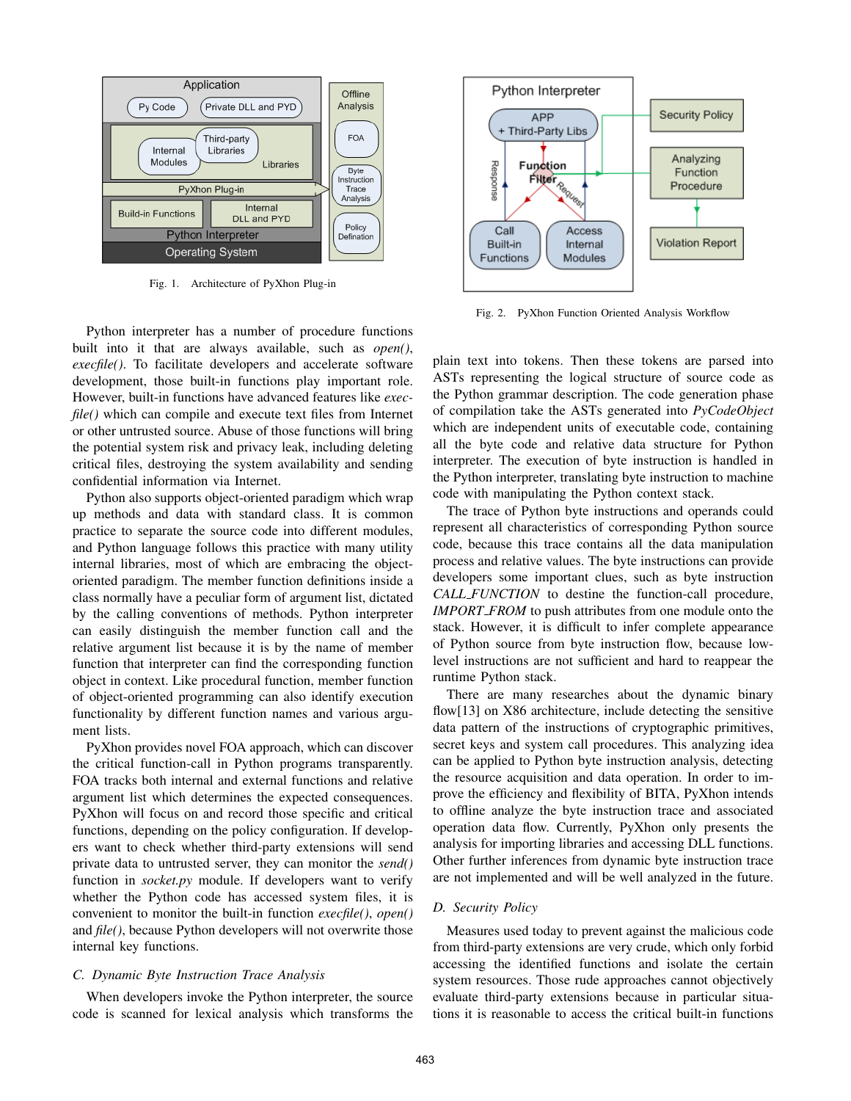

Fig. 1. Architecture of PyXhon Plug-in

Python interpreter has a number of procedure functions built into it that are always available, such as *open()*, *execfile()*. To facilitate developers and accelerate software development, those built-in functions play important role. However, built-in functions have advanced features like *execfile()* which can compile and execute text files from Internet or other untrusted source. Abuse of those functions will bring the potential system risk and privacy leak, including deleting critical files, destroying the system availability and sending confidential information via Internet.

Python also supports object-oriented paradigm which wrap up methods and data with standard class. It is common practice to separate the source code into different modules, and Python language follows this practice with many utility internal libraries, most of which are embracing the objectoriented paradigm. The member function definitions inside a class normally have a peculiar form of argument list, dictated by the calling conventions of methods. Python interpreter can easily distinguish the member function call and the relative argument list because it is by the name of member function that interpreter can find the corresponding function object in context. Like procedural function, member function of object-oriented programming can also identify execution functionality by different function names and various argument lists.

PyXhon provides novel FOA approach, which can discover the critical function-call in Python programs transparently. FOA tracks both internal and external functions and relative argument list which determines the expected consequences. PyXhon will focus on and record those specific and critical functions, depending on the policy configuration. If developers want to check whether third-party extensions will send private data to untrusted server, they can monitor the *send()* function in *socket.py* module. If developers want to verify whether the Python code has accessed system files, it is convenient to monitor the built-in function *execfile()*, *open()* and *file()*, because Python developers will not overwrite those internal key functions.

#### *C. Dynamic Byte Instruction Trace Analysis*

When developers invoke the Python interpreter, the source code is scanned for lexical analysis which transforms the



Fig. 2. PyXhon Function Oriented Analysis Workflow

plain text into tokens. Then these tokens are parsed into ASTs representing the logical structure of source code as the Python grammar description. The code generation phase of compilation take the ASTs generated into *PyCodeObject* which are independent units of executable code, containing all the byte code and relative data structure for Python interpreter. The execution of byte instruction is handled in the Python interpreter, translating byte instruction to machine code with manipulating the Python context stack.

The trace of Python byte instructions and operands could represent all characteristics of corresponding Python source code, because this trace contains all the data manipulation process and relative values. The byte instructions can provide developers some important clues, such as byte instruction *CALL FUNCTION* to destine the function-call procedure, *IMPORT FROM* to push attributes from one module onto the stack. However, it is difficult to infer complete appearance of Python source from byte instruction flow, because lowlevel instructions are not sufficient and hard to reappear the runtime Python stack.

There are many researches about the dynamic binary flow[13] on X86 architecture, include detecting the sensitive data pattern of the instructions of cryptographic primitives, secret keys and system call procedures. This analyzing idea can be applied to Python byte instruction analysis, detecting the resource acquisition and data operation. In order to improve the efficiency and flexibility of BITA, PyXhon intends to offline analyze the byte instruction trace and associated operation data flow. Currently, PyXhon only presents the analysis for importing libraries and accessing DLL functions. Other further inferences from dynamic byte instruction trace are not implemented and will be well analyzed in the future.

#### *D. Security Policy*

Measures used today to prevent against the malicious code from third-party extensions are very crude, which only forbid accessing the identified functions and isolate the certain system resources. Those rude approaches cannot objectively evaluate third-party extensions because in particular situations it is reasonable to access the critical built-in functions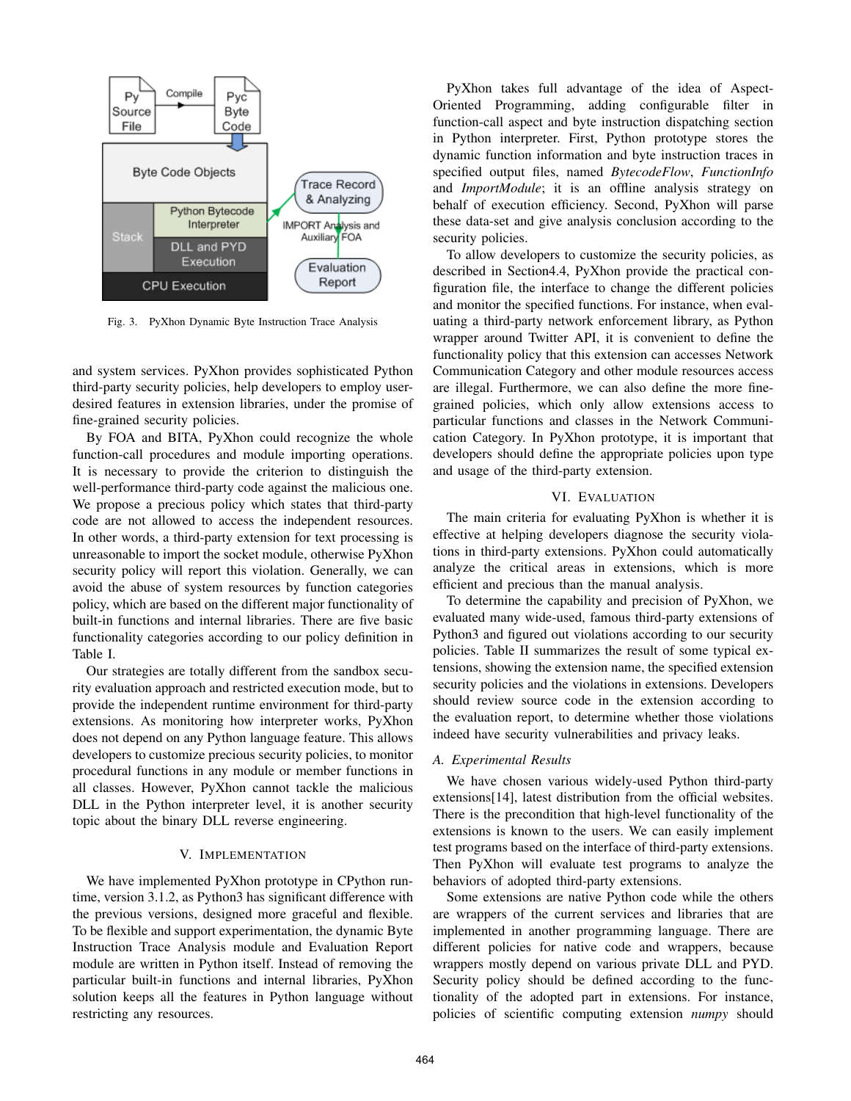

Fig. 3. PyXhon Dynamic Byte Instruction Trace Analysis

and system services. PyXhon provides sophisticated Python third-party security policies, help developers to employ userdesired features in extension libraries, under the promise of fine-grained security policies.

By FOA and BITA, PyXhon could recognize the whole function-call procedures and module importing operations. It is necessary to provide the criterion to distinguish the well-performance third-party code against the malicious one. We propose a precious policy which states that third-party code are not allowed to access the independent resources. In other words, a third-party extension for text processing is unreasonable to import the socket module, otherwise PyXhon security policy will report this violation. Generally, we can avoid the abuse of system resources by function categories policy, which are based on the different major functionality of built-in functions and internal libraries. There are five basic functionality categories according to our policy definition in Table I.

Our strategies are totally different from the sandbox security evaluation approach and restricted execution mode, but to provide the independent runtime environment for third-party extensions. As monitoring how interpreter works, PyXhon does not depend on any Python language feature. This allows developers to customize precious security policies, to monitor procedural functions in any module or member functions in all classes. However, PyXhon cannot tackle the malicious DLL in the Python interpreter level, it is another security topic about the binary DLL reverse engineering.

#### V. IMPLEMENTATION

We have implemented PyXhon prototype in CPython runtime, version 3.1.2, as Python3 has significant difference with the previous versions, designed more graceful and flexible. To be flexible and support experimentation, the dynamic Byte Instruction Trace Analysis module and Evaluation Report module are written in Python itself. Instead of removing the particular built-in functions and internal libraries, PyXhon solution keeps all the features in Python language without restricting any resources.

PyXhon takes full advantage of the idea of Aspect-Oriented Programming, adding configurable filter in function-call aspect and byte instruction dispatching section in Python interpreter. First, Python prototype stores the dynamic function information and byte instruction traces in specified output files, named *BytecodeFlow*, *FunctionInfo* and *ImportModule*; it is an offline analysis strategy on behalf of execution efficiency. Second, PyXhon will parse these data-set and give analysis conclusion according to the security policies.

To allow developers to customize the security policies, as described in Section4.4, PyXhon provide the practical configuration file, the interface to change the different policies and monitor the specified functions. For instance, when evaluating a third-party network enforcement library, as Python wrapper around Twitter API, it is convenient to define the functionality policy that this extension can accesses Network Communication Category and other module resources access are illegal. Furthermore, we can also define the more finegrained policies, which only allow extensions access to particular functions and classes in the Network Communication Category. In PyXhon prototype, it is important that developers should define the appropriate policies upon type and usage of the third-party extension.

#### VI. EVALUATION

The main criteria for evaluating PyXhon is whether it is effective at helping developers diagnose the security violations in third-party extensions. PyXhon could automatically analyze the critical areas in extensions, which is more efficient and precious than the manual analysis.

To determine the capability and precision of PyXhon, we evaluated many wide-used, famous third-party extensions of Python3 and figured out violations according to our security policies. Table II summarizes the result of some typical extensions, showing the extension name, the specified extension security policies and the violations in extensions. Developers should review source code in the extension according to the evaluation report, to determine whether those violations indeed have security vulnerabilities and privacy leaks.

#### *A. Experimental Results*

We have chosen various widely-used Python third-party extensions[14], latest distribution from the official websites. There is the precondition that high-level functionality of the extensions is known to the users. We can easily implement test programs based on the interface of third-party extensions. Then PyXhon will evaluate test programs to analyze the behaviors of adopted third-party extensions.

Some extensions are native Python code while the others are wrappers of the current services and libraries that are implemented in another programming language. There are different policies for native code and wrappers, because wrappers mostly depend on various private DLL and PYD. Security policy should be defined according to the functionality of the adopted part in extensions. For instance, policies of scientific computing extension *numpy* should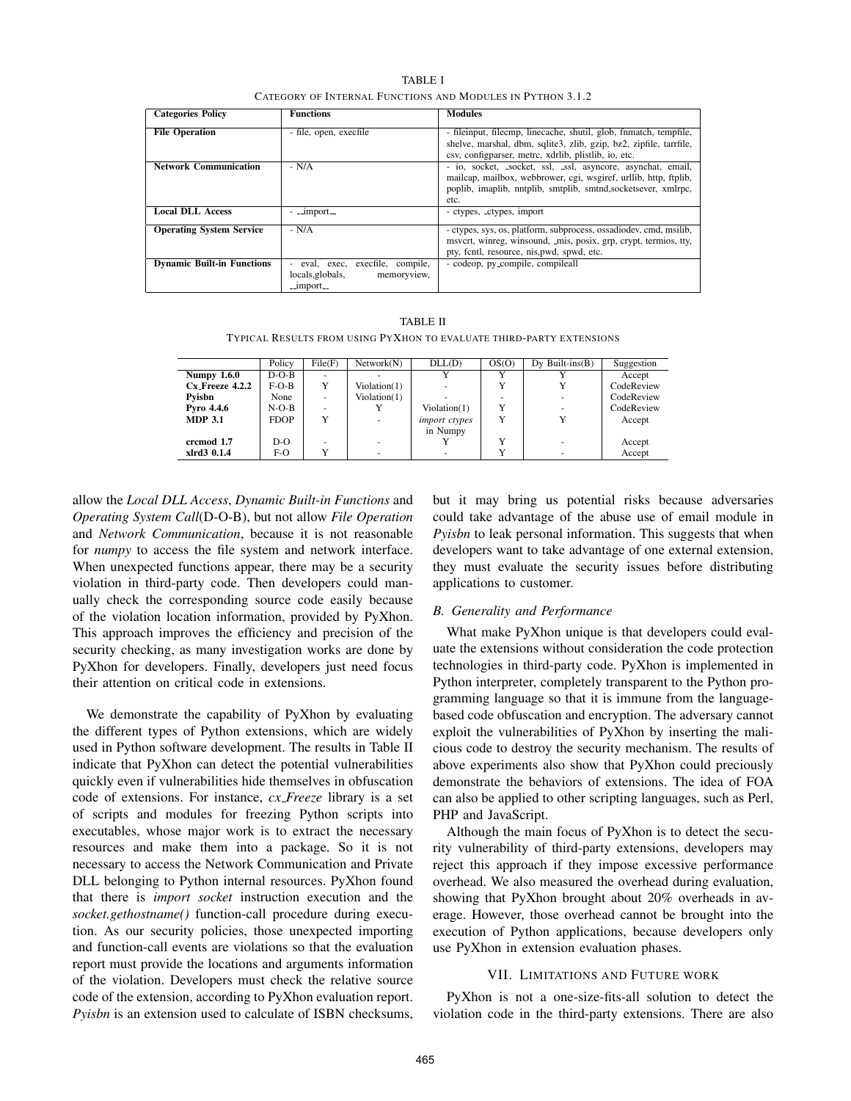| <b>Categories Policy</b>          | <b>Functions</b>                       | <b>Modules</b>                                                     |  |  |  |  |
|-----------------------------------|----------------------------------------|--------------------------------------------------------------------|--|--|--|--|
|                                   |                                        |                                                                    |  |  |  |  |
| <b>File Operation</b>             | - file, open, execfile                 | - fileinput, filecmp, linecache, shutil, glob, finatch, tempfile,  |  |  |  |  |
|                                   |                                        | shelve, marshal, dbm, sqlite3, zlib, gzip, bz2, zipfile, tarrfile, |  |  |  |  |
|                                   |                                        | csv, configparser, metrc, xdrlib, plistlib, io, etc.               |  |  |  |  |
|                                   |                                        |                                                                    |  |  |  |  |
| <b>Network Communication</b>      | $- N/A$                                | - io, socket, socket, ssl, ssl, asyncore, asynchat, email,         |  |  |  |  |
|                                   |                                        | mailcap, mailbox, webbrower, cgi, wsgiref, urllib, http, ftplib,   |  |  |  |  |
|                                   |                                        | poplib, imaplib, nntplib, smtplib, smtnd, socketsever, xmlrpc,     |  |  |  |  |
|                                   |                                        |                                                                    |  |  |  |  |
|                                   |                                        | etc.                                                               |  |  |  |  |
| <b>Local DLL Access</b>           | $-$ <sub>--</sub> import <sub>--</sub> | - ctypes, _ctypes, import                                          |  |  |  |  |
|                                   |                                        |                                                                    |  |  |  |  |
| <b>Operating System Service</b>   | $- N/A$                                | - ctypes, sys, os, platform, subprocess, ossadiodev, cmd, msilib,  |  |  |  |  |
|                                   |                                        | msvcrt, winreg, winsound, _mis, posix, grp, crypt, termios, tty,   |  |  |  |  |
|                                   |                                        |                                                                    |  |  |  |  |
|                                   |                                        | pty, fentl, resource, nis, pwd, spwd, etc.                         |  |  |  |  |
| <b>Dynamic Built-in Functions</b> | eval, exec, execfile, compile,         | - codeop, py_compile, compileall                                   |  |  |  |  |
|                                   | locals, globals,<br>memoryview,        |                                                                    |  |  |  |  |
|                                   | $\equiv$ import $\equiv$               |                                                                    |  |  |  |  |
|                                   |                                        |                                                                    |  |  |  |  |

TABLE I CATEGORY OF INTERNAL FUNCTIONS AND MODULES IN PYTHON 3.1.2

#### TABLE II

TYPICAL RESULTS FROM USING PYXHON TO EVALUATE THIRD-PARTY EXTENSIONS

|                    | Policy      | File(F)                  | Network(N)   | DLL(D)               | OS(O) | $Dv$ Built-ins $(B)$ | Suggestion |
|--------------------|-------------|--------------------------|--------------|----------------------|-------|----------------------|------------|
| <b>Numpy 1.6.0</b> | $D-O-B$     |                          |              |                      |       |                      | Accept     |
| $Cx$ Freeze 4.2.2  | $F-O-B$     | Y                        | Violation(1) |                      |       |                      | CodeReview |
| Pvisbn             | None        | $\overline{\phantom{a}}$ | Violation(1) |                      |       |                      | CodeReview |
| <b>Pyro 4.4.6</b>  | $N-O-B$     | $\overline{\phantom{a}}$ |              | Violation(1)         |       |                      | CodeReview |
| <b>MDP 3.1</b>     | <b>FDOP</b> | Y                        |              | <i>import ctypes</i> |       |                      | Accept     |
|                    |             |                          |              | in Numpy             |       |                      |            |
| cremod 1.7         | $D-O$       |                          |              |                      |       |                      | Accept     |
| xlrd3 0.1.4        | F-O         |                          |              |                      |       |                      | Accept     |

allow the *Local DLL Access*, *Dynamic Built-in Functions* and *Operating System Call*(D-O-B), but not allow *File Operation* and *Network Communication*, because it is not reasonable for *numpy* to access the file system and network interface. When unexpected functions appear, there may be a security violation in third-party code. Then developers could manually check the corresponding source code easily because of the violation location information, provided by PyXhon. This approach improves the efficiency and precision of the security checking, as many investigation works are done by PyXhon for developers. Finally, developers just need focus their attention on critical code in extensions.

We demonstrate the capability of PyXhon by evaluating the different types of Python extensions, which are widely used in Python software development. The results in Table II indicate that PyXhon can detect the potential vulnerabilities quickly even if vulnerabilities hide themselves in obfuscation code of extensions. For instance, *cx Freeze* library is a set of scripts and modules for freezing Python scripts into executables, whose major work is to extract the necessary resources and make them into a package. So it is not necessary to access the Network Communication and Private DLL belonging to Python internal resources. PyXhon found that there is *import socket* instruction execution and the *socket.gethostname()* function-call procedure during execution. As our security policies, those unexpected importing and function-call events are violations so that the evaluation report must provide the locations and arguments information of the violation. Developers must check the relative source code of the extension, according to PyXhon evaluation report. *Pyisbn* is an extension used to calculate of ISBN checksums, but it may bring us potential risks because adversaries could take advantage of the abuse use of email module in *Pyisbn* to leak personal information. This suggests that when developers want to take advantage of one external extension, they must evaluate the security issues before distributing applications to customer.

#### *B. Generality and Performance*

What make PyXhon unique is that developers could evaluate the extensions without consideration the code protection technologies in third-party code. PyXhon is implemented in Python interpreter, completely transparent to the Python programming language so that it is immune from the languagebased code obfuscation and encryption. The adversary cannot exploit the vulnerabilities of PyXhon by inserting the malicious code to destroy the security mechanism. The results of above experiments also show that PyXhon could preciously demonstrate the behaviors of extensions. The idea of FOA can also be applied to other scripting languages, such as Perl, PHP and JavaScript.

Although the main focus of PyXhon is to detect the security vulnerability of third-party extensions, developers may reject this approach if they impose excessive performance overhead. We also measured the overhead during evaluation, showing that PyXhon brought about 20% overheads in average. However, those overhead cannot be brought into the execution of Python applications, because developers only use PyXhon in extension evaluation phases.

#### VII. LIMITATIONS AND FUTURE WORK

PyXhon is not a one-size-fits-all solution to detect the violation code in the third-party extensions. There are also